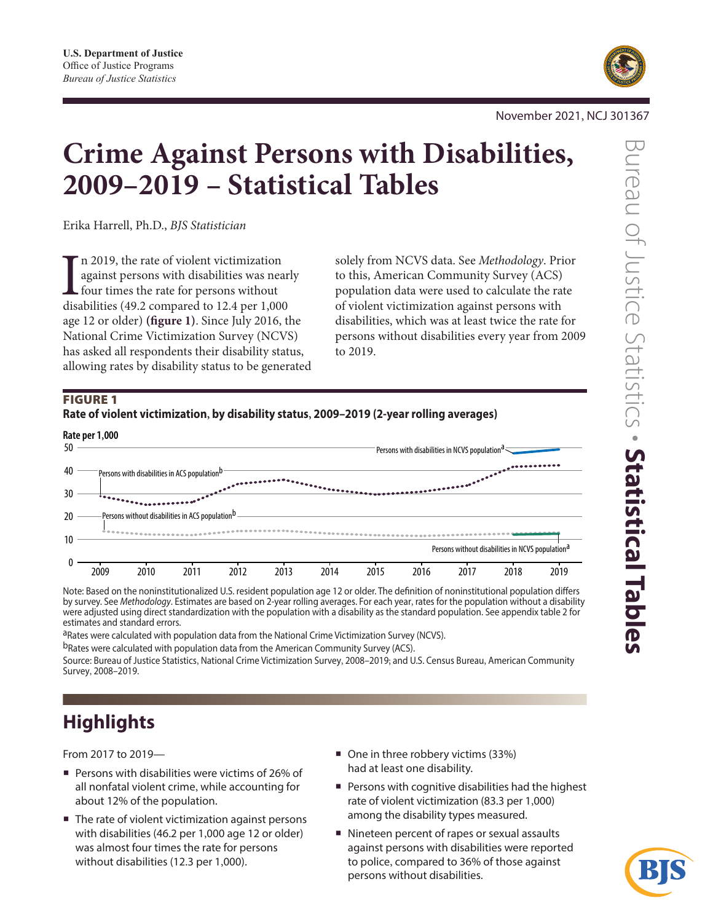

November 2021, NCJ 301367

# **Crime Against Persons with Disabilities, 2009–2019 – Statistical Tables**

Erika Harrell, Ph.D., *BJS Statistician*

In 2019, the rate of violent victimization<br>against persons with disabilities was near<br>four times the rate for persons without<br>disabilities (49.2 compared to 12.4 per 1,000 n 2019, the rate of violent victimization against persons with disabilities was nearly **L** four times the rate for persons without age 12 or older) **(figure 1)**. Since July 2016, the National Crime Victimization Survey (NCVS) has asked all respondents their disability status, allowing rates by disability status to be generated

solely from NCVS data. See *Methodology*. Prior to this, American Community Survey (ACS) population data were used to calculate the rate of violent victimization against persons with disabilities, which was at least twice the rate for persons without disabilities every year from 2009 to 2019.

# FIGURE 1



Note: Based on the noninstitutionalized U.S. resident population age 12 or older. The definition of noninstitutional population differs by survey. See *Methodology*. Estimates are based on 2-year rolling averages. For each year, rates for the population without a disability were adjusted using direct standardization with the population with a disability as the standard population. See appendix table 2 for estimates and standard errors.

aRates were calculated with population data from the National Crime Victimization Survey (NCVS). bRates were calculated with population data from the American Community Survey (ACS).

Source: Bureau of Justice Statistics, National Crime Victimization Survey, 2008–2019; and U.S. Census Bureau, American Community Survey, 2008–2019.

# **Highlights**

From 2017 to 2019—

- Persons with disabilities were victims of 26% of all nonfatal violent crime, while accounting for about 12% of the population.
- The rate of violent victimization against persons with disabilities (46.2 per 1,000 age 12 or older) was almost four times the rate for persons without disabilities (12.3 per 1,000).
- One in three robbery victims (33%) had at least one disability.
- **Persons with cognitive disabilities had the highest** rate of violent victimization (83.3 per 1,000) among the disability types measured.
- Nineteen percent of rapes or sexual assaults against persons with disabilities were reported to police, compared to 36% of those against persons without disabilities.

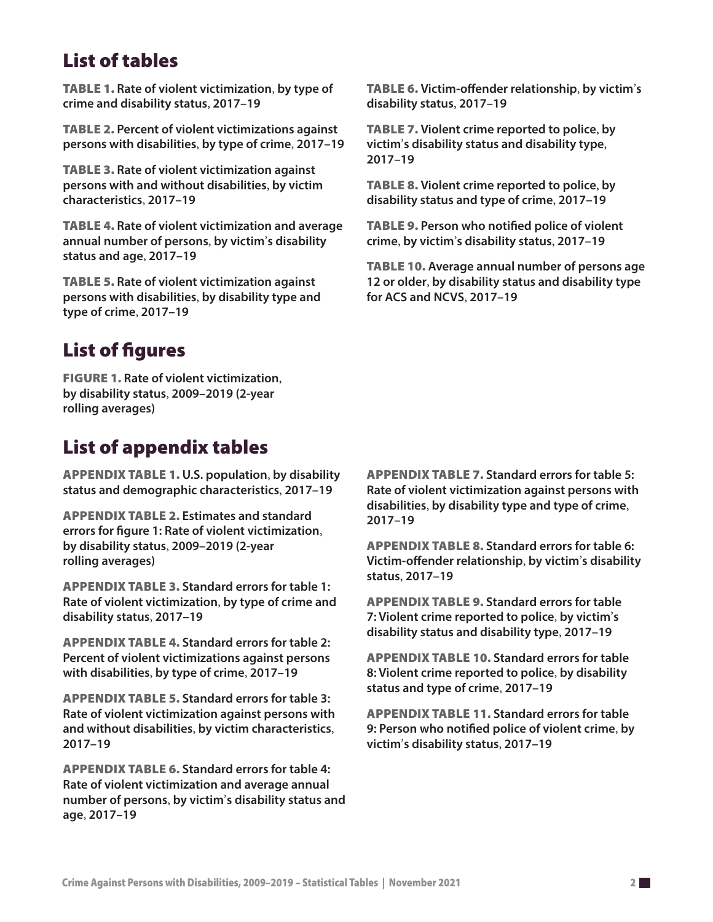# List of tables

Table 1. **Rate of violent victimization**, **by type of crime and disability status**, **2017–19**

Table 2. **Percent of violent victimizations against persons with disabilities**, **by type of crime**, **2017–19**

Table 3. **Rate of violent victimization against persons with and without disabilities**, **by victim characteristics**, **2017–19**

Table 4. **Rate of violent victimization and average annual number of persons**, **by victim**'**s disability status and age**, **2017–19**

Table 5. **Rate of violent victimization against persons with disabilities**, **by disability type and type of crime**, **2017–19**

# List of figures

Figure 1. **Rate of violent victimization**, **by disability status**, **2009–2019 (2-year rolling averages)**

# List of appendix tables

Appendix table 1. **U.S. population**, **by disability status and demographic characteristics**, **2017–19**

Appendix table 2. **Estimates and standard errors for figure 1: Rate of violent victimization**, **by disability status**, **2009–2019 (2-year rolling averages)**

Appendix table 3. **Standard errors for table 1: Rate of violent victimization**, **by type of crime and disability status**, **2017–19**

Appendix table 4. **Standard errors for table 2: Percent of violent victimizations against persons with disabilities**, **by type of crime**, **2017–19**

Appendix table 5. **Standard errors for table 3: Rate of violent victimization against persons with and without disabilities**, **by victim characteristics**, **2017–19**

Appendix table 6. **Standard errors for table 4: Rate of violent victimization and average annual number of persons**, **by victim**'**s disability status and age**, **2017–19**

Table 6. **Victim-offender relationship**, **by victim**'**s disability status**, **2017–19**

Table 7. **Violent crime reported to police**, **by victim**'**s disability status and disability type**, **2017–19**

Table 8. **Violent crime reported to police**, **by disability status and type of crime**, **2017–19**

Table 9. **Person who notified police of violent crime**, **by victim**'**s disability status**, **2017–19**

Table 10. **Average annual number of persons age 12 or older**, **by disability status and disability type for ACS and NCVS**, **2017–19**

Appendix table 7. **Standard errors for table 5: Rate of violent victimization against persons with disabilities**, **by disability type and type of crime**, **2017–19**

Appendix table 8. **Standard errors for table 6: Victim-offender relationship**, **by victim**'**s disability status**, **2017–19**

Appendix table 9. **Standard errors for table 7: Violent crime reported to police**, **by victim**'**s disability status and disability type**, **2017–19**

Appendix table 10. **Standard errors for table 8: Violent crime reported to police**, **by disability status and type of crime**, **2017–19**

Appendix table 11. **Standard errors for table 9: Person who notified police of violent crime**, **by victim**'**s disability status**, **2017–19**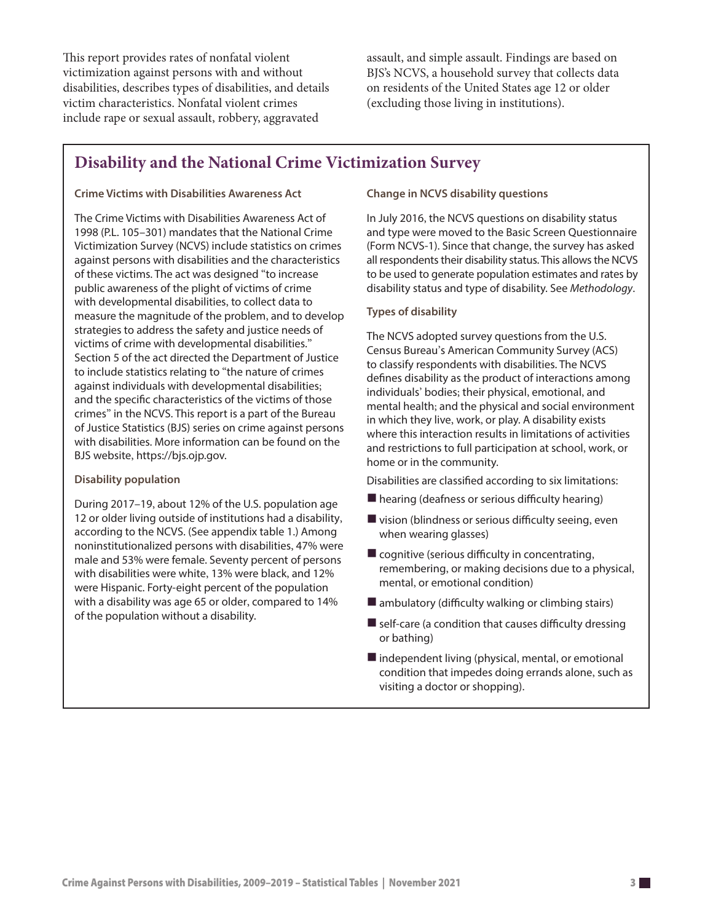This report provides rates of nonfatal violent victimization against persons with and without disabilities, describes types of disabilities, and details victim characteristics. Nonfatal violent crimes include rape or sexual assault, robbery, aggravated

assault, and simple assault. Findings are based on BJS's NCVS, a household survey that collects data on residents of the United States age 12 or older (excluding those living in institutions).

# **Disability and the National Crime Victimization Survey**

#### **Crime Victims with Disabilities Awareness Act**

The Crime Victims with Disabilities Awareness Act of 1998 (P.L. 105–301) mandates that the National Crime Victimization Survey (NCVS) include statistics on crimes against persons with disabilities and the characteristics of these victims. The act was designed "to increase public awareness of the plight of victims of crime with developmental disabilities, to collect data to measure the magnitude of the problem, and to develop strategies to address the safety and justice needs of victims of crime with developmental disabilities." Section 5 of the act directed the Department of Justice to include statistics relating to "the nature of crimes against individuals with developmental disabilities; and the specific characteristics of the victims of those crimes" in the NCVS. This report is a part of the Bureau of Justice Statistics (BJS) series on crime against persons with disabilities. More information can be found on the BJS website, [https://bjs.ojp.gov.](https://bjs.ojp.gov)

#### **Disability population**

During 2017–19, about 12% of the U.S. population age 12 or older living outside of institutions had a disability, according to the NCVS. (See appendix table 1.) Among noninstitutionalized persons with disabilities, 47% were male and 53% were female. Seventy percent of persons with disabilities were white, 13% were black, and 12% were Hispanic. Forty-eight percent of the population with a disability was age 65 or older, compared to 14% of the population without a disability.

**Change in NCVS disability questions**

In July 2016, the NCVS questions on disability status and type were moved to the Basic Screen Questionnaire (Form NCVS-1). Since that change, the survey has asked all respondents their disability status. This allows the NCVS to be used to generate population estimates and rates by disability status and type of disability. See *Methodology*.

#### **Types of disability**

The NCVS adopted survey questions from the U.S. Census Bureau's American Community Survey (ACS) to classify respondents with disabilities. The NCVS defines disability as the product of interactions among individuals' bodies; their physical, emotional, and mental health; and the physical and social environment in which they live, work, or play. A disability exists where this interaction results in limitations of activities and restrictions to full participation at school, work, or home or in the community.

Disabilities are classified according to six limitations:

- hearing (deafness or serious difficulty hearing)
- $\blacksquare$  vision (blindness or serious difficulty seeing, even when wearing glasses)
- $\blacksquare$  cognitive (serious difficulty in concentrating, remembering, or making decisions due to a physical, mental, or emotional condition)
- $\blacksquare$  ambulatory (difficulty walking or climbing stairs)
- $\blacksquare$  self-care (a condition that causes difficulty dressing or bathing)
- independent living (physical, mental, or emotional condition that impedes doing errands alone, such as visiting a doctor or shopping).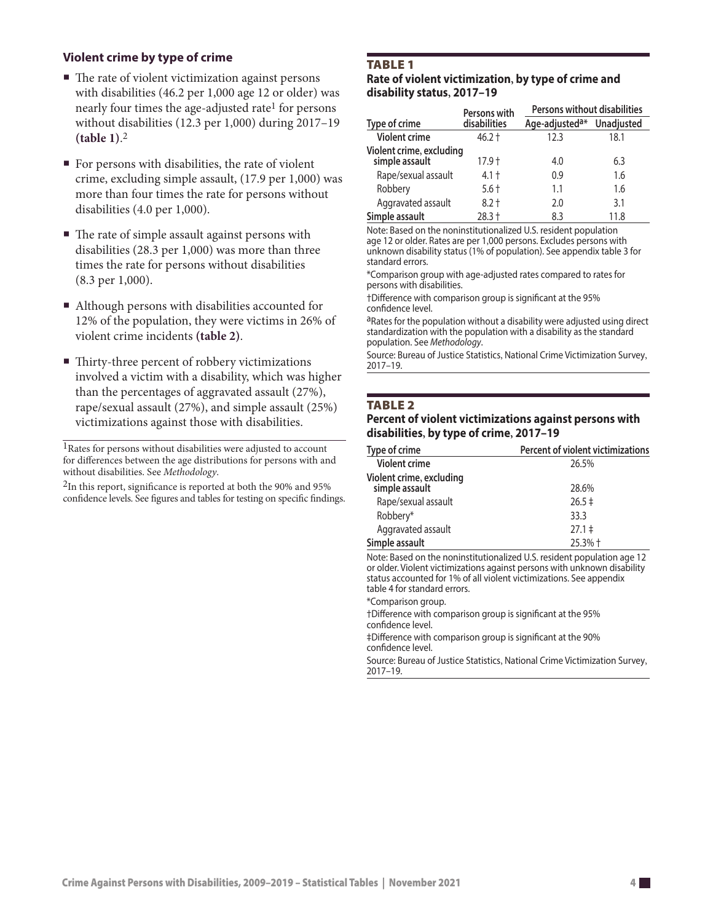### **Violent crime by type of crime**

- The rate of violent victimization against persons with disabilities (46.2 per 1,000 age 12 or older) was nearly four times the age-adjusted rate<sup>1</sup> for persons without disabilities (12.3 per 1,000) during 2017–19 **(table 1)**. 2
- For persons with disabilities, the rate of violent crime, excluding simple assault, (17.9 per 1,000) was more than four times the rate for persons without disabilities (4.0 per 1,000).
- The rate of simple assault against persons with disabilities (28.3 per 1,000) was more than three times the rate for persons without disabilities (8.3 per 1,000).
- Although persons with disabilities accounted for 12% of the population, they were victims in 26% of violent crime incidents **(table 2)**.
- Thirty-three percent of robbery victimizations involved a victim with a disability, which was higher than the percentages of aggravated assault (27%), rape/sexual assault (27%), and simple assault (25%) victimizations against those with disabilities.

<sup>1</sup>Rates for persons without disabilities were adjusted to account for differences between the age distributions for persons with and without disabilities. See *Methodology*.

2In this report, significance is reported at both the 90% and 95% confidence levels. See figures and tables for testing on specific findings.

#### **TABLE 1**

#### **Rate of violent victimization, by type of crime and disability status, 2017–19**

|                                            | Persons with | <b>Persons without disabilities</b> |                   |
|--------------------------------------------|--------------|-------------------------------------|-------------------|
| Type of crime                              | disabilities | Age-adjusted <sup>a*</sup>          | <b>Unadjusted</b> |
| <b>Violent crime</b>                       | $46.2 +$     | 12.3                                | 18.1              |
| Violent crime, excluding<br>simple assault | 17.9 †       | 4.0                                 | 6.3               |
| Rape/sexual assault                        | $4.1 +$      | 0.9                                 | 1.6               |
| Robbery                                    | $5.6 +$      | 1.1                                 | 1.6               |
| Aggravated assault                         | $8.2 +$      | 2.0                                 | 3.1               |
| Simple assault                             | 28.3 +       | 8.3                                 | 11.8              |

Note: Based on the noninstitutionalized U.S. resident population age 12 or older. Rates are per 1,000 persons. Excludes persons with unknown disability status (1% of population). See appendix table 3 for standard errors.

\*Comparison group with age-adjusted rates compared to rates for persons with disabilities.

†Difference with comparison group is significant at the 95% confidence level.

aRates for the population without a disability were adjusted using direct standardization with the population with a disability as the standard population. See *Methodology*.

Source: Bureau of Justice Statistics, National Crime Victimization Survey, 2017–19.

#### **TABLE 2**

#### **Percent of violent victimizations against persons with disabilities, by type of crime, 2017–19**

| Type of crime                                     | Percent of violent victimizations |
|---------------------------------------------------|-----------------------------------|
| <b>Violent crime</b>                              | 26.5%                             |
| <b>Violent crime, excluding</b><br>simple assault | 28.6%                             |
| Rape/sexual assault                               | $26.5 \pm$                        |
| Robbery*                                          | 33.3                              |
| Aggravated assault                                | $27.1 \pm$                        |
| Simple assault                                    | 25.3% +                           |

Note: Based on the noninstitutionalized U.S. resident population age 12 or older. Violent victimizations against persons with unknown disability status accounted for 1% of all violent victimizations. See appendix table 4 for standard errors.

\*Comparison group.

†Difference with comparison group is significant at the 95% confidence level.

‡Difference with comparison group is significant at the 90% confidence level.

Source: Bureau of Justice Statistics, National Crime Victimization Survey, 2017–19.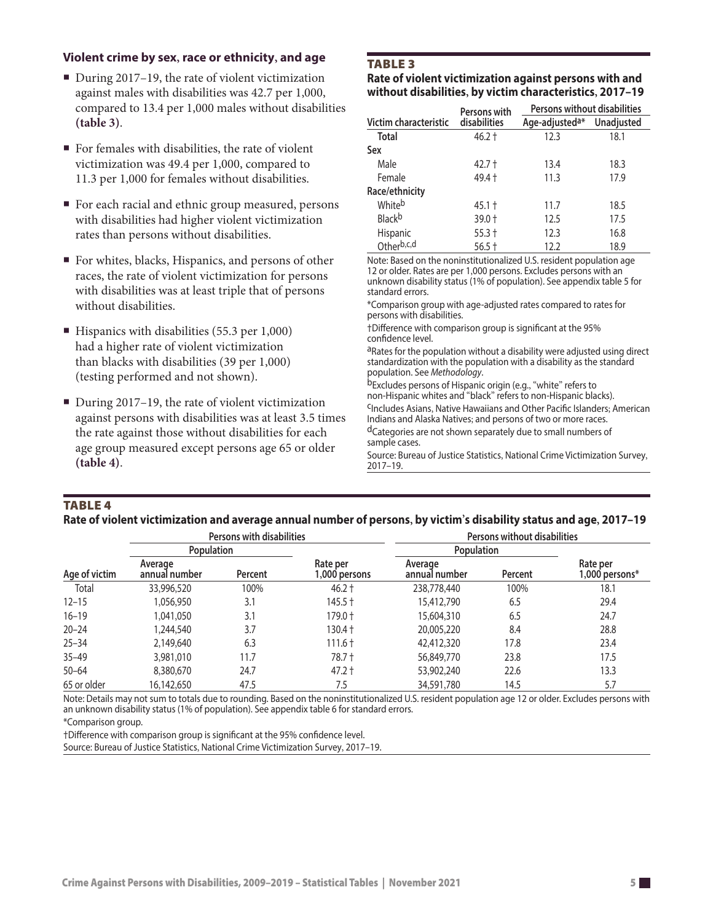### **Violent crime by sex, race or ethnicity, and age**

- During 2017–19, the rate of violent victimization against males with disabilities was 42.7 per 1,000, compared to 13.4 per 1,000 males without disabilities **(table 3)**.
- For females with disabilities, the rate of violent victimization was 49.4 per 1,000, compared to 11.3 per 1,000 for females without disabilities.
- For each racial and ethnic group measured, persons with disabilities had higher violent victimization rates than persons without disabilities.
- For whites, blacks, Hispanics, and persons of other races, the rate of violent victimization for persons with disabilities was at least triple that of persons without disabilities.
- $\blacksquare$  Hispanics with disabilities (55.3 per 1,000) had a higher rate of violent victimization than blacks with disabilities (39 per 1,000) (testing performed and not shown).
- During 2017–19, the rate of violent victimization against persons with disabilities was at least 3.5 times the rate against those without disabilities for each age group measured except persons age 65 or older **(table 4)**.

# **TABLE 3**

**Rate of violent victimization against persons with and without disabilities, by victim characteristics, 2017–19**

|                       | Persons with | Persons without disabilities |                   |  |
|-----------------------|--------------|------------------------------|-------------------|--|
| Victim characteristic | disabilities | Age-adjusted <sup>a*</sup>   | <b>Unadjusted</b> |  |
| Total                 | $46.2 +$     | 12.3                         | 18.1              |  |
| Sex                   |              |                              |                   |  |
| Male                  | $42.7 +$     | 13.4                         | 18.3              |  |
| Female                | 49.4 +       | 11.3                         | 17.9              |  |
| Race/ethnicity        |              |                              |                   |  |
| Whiteb                | $45.1 +$     | 11.7                         | 18.5              |  |
| Blackb                | 39.0 +       | 12.5                         | 17.5              |  |
| Hispanic              | $55.3 +$     | 12.3                         | 16.8              |  |
| Otherb,c,d            | $56.5 +$     | 12.2                         | 18.9              |  |

Note: Based on the noninstitutionalized U.S. resident population age 12 or older. Rates are per 1,000 persons. Excludes persons with an unknown disability status (1% of population). See appendix table 5 for standard errors.

\*Comparison group with age-adjusted rates compared to rates for persons with disabilities.

†Difference with comparison group is significant at the 95% confidence level.

aRates for the population without a disability were adjusted using direct standardization with the population with a disability as the standard population. See *Methodology*.

bExcludes persons of Hispanic origin (e.g., "white" refers to<br>non-Hispanic whites and "black" refers to non-Hispanic blacks).

<sup>C</sup>Includes Asians, Native Hawaiians and Other Pacific Islanders; American Indians and Alaska Natives; and persons of two or more races.

dCategories are not shown separately due to small numbers of sample cases.

Source: Bureau of Justice Statistics, National Crime Victimization Survey, 2017–19.

#### **TABLE 4**

#### **Rate of violent victimization and average annual number of persons, by victim's disability status and age, 2017–19**

|               |                          | <b>Persons with disabilities</b> |                           | Persons without disabilities |         |                            |  |
|---------------|--------------------------|----------------------------------|---------------------------|------------------------------|---------|----------------------------|--|
|               | <b>Population</b>        |                                  |                           | Population                   |         |                            |  |
| Age of victim | Average<br>annual number | Percent                          | Rate per<br>i,000 persons | Average<br>annual number     | Percent | Rate per<br>1,000 persons* |  |
| Total         | 33,996,520               | 100%                             | $46.2 +$                  | 238,778,440                  | 100%    | 18.1                       |  |
| $12 - 15$     | 1,056,950                | 3.1                              | $145.5 +$                 | 15,412,790                   | 6.5     | 29.4                       |  |
| $16 - 19$     | 1,041,050                | 3.1                              | 179.0 +                   | 15,604,310                   | 6.5     | 24.7                       |  |
| $20 - 24$     | 1.244.540                | 3.7                              | $130.4 +$                 | 20,005,220                   | 8.4     | 28.8                       |  |
| $25 - 34$     | 2,149,640                | 6.3                              | $111.6 +$                 | 42,412,320                   | 17.8    | 23.4                       |  |
| $35 - 49$     | 3,981,010                | 11.7                             | $78.7 +$                  | 56,849,770                   | 23.8    | 17.5                       |  |
| $50 - 64$     | 8,380,670                | 24.7                             | $47.2 +$                  | 53,902,240                   | 22.6    | 13.3                       |  |
| 65 or older   | 16,142,650               | 47.5                             | 7.5                       | 34,591,780                   | 14.5    | 5.7                        |  |

Note: Details may not sum to totals due to rounding. Based on the noninstitutionalized U.S. resident population age 12 or older. Excludes persons with an unknown disability status (1% of population). See appendix table 6 for standard errors.

\*Comparison group.

†Difference with comparison group is significant at the 95% confidence level.

Source: Bureau of Justice Statistics, National Crime Victimization Survey, 2017–19.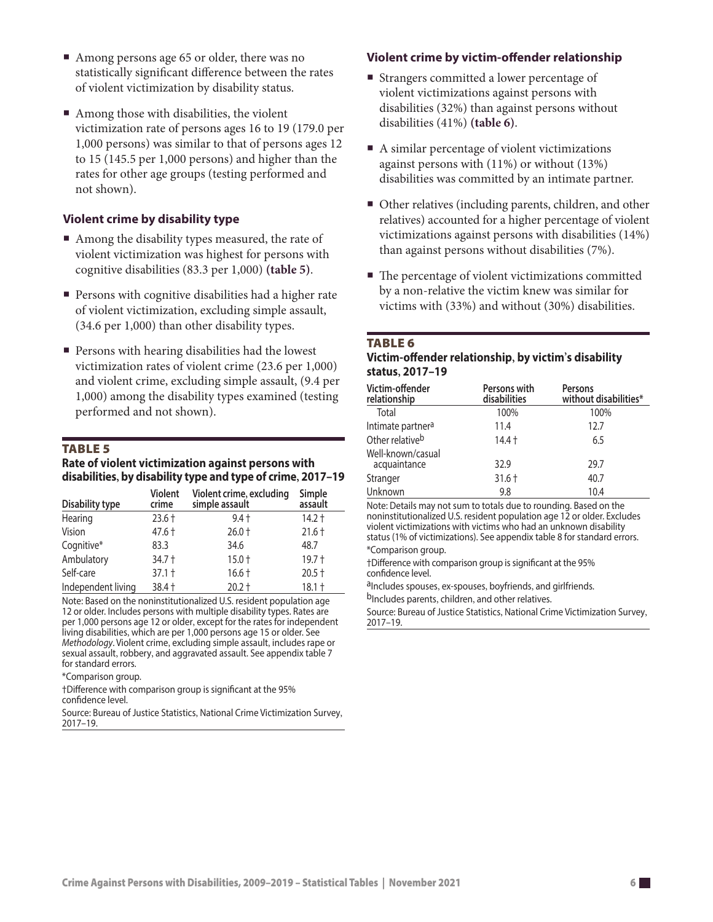- Among persons age 65 or older, there was no statistically significant difference between the rates of violent victimization by disability status.
- Among those with disabilities, the violent victimization rate of persons ages 16 to 19 (179.0 per 1,000 persons) was similar to that of persons ages 12 to 15 (145.5 per 1,000 persons) and higher than the rates for other age groups (testing performed and not shown).

#### **Violent crime by disability type**

- Among the disability types measured, the rate of violent victimization was highest for persons with cognitive disabilities (83.3 per 1,000) **(table 5)**.
- **Persons with cognitive disabilities had a higher rate** of violent victimization, excluding simple assault, (34.6 per 1,000) than other disability types.
- **Persons with hearing disabilities had the lowest** victimization rates of violent crime (23.6 per 1,000) and violent crime, excluding simple assault, (9.4 per 1,000) among the disability types examined (testing performed and not shown).

### TABLE<sub>5</sub>

#### **Rate of violent victimization against persons with disabilities, by disability type and type of crime, 2017–19**

| <b>Disability type</b> | <b>Violent</b><br>crime | Violent crime, excluding<br>simple assault | Simple<br>assault |
|------------------------|-------------------------|--------------------------------------------|-------------------|
| Hearing                | $23.6 +$                | $9.4 +$                                    | $14.2 +$          |
| Vision                 | 47.6 †                  | $26.0 +$                                   | $21.6 +$          |
| Cognitive*             | 83.3                    | 34.6                                       | 48.7              |
| Ambulatory             | 34.7 +                  | $15.0 +$                                   | $19.7 +$          |
| Self-care              | $37.1 +$                | $16.6 +$                                   | $20.5 +$          |
| Independent living     | $38.4 +$                | $20.2 +$                                   | $18.1 +$          |

Note: Based on the noninstitutionalized U.S. resident population age 12 or older. Includes persons with multiple disability types. Rates are per 1,000 persons age 12 or older, except for the rates for independent living disabilities, which are per 1,000 persons age 15 or older. See *Methodology*. Violent crime, excluding simple assault, includes rape or sexual assault, robbery, and aggravated assault. See appendix table 7 for standard errors.

\*Comparison group.

†Difference with comparison group is significant at the 95% confidence level.

Source: Bureau of Justice Statistics, National Crime Victimization Survey, 2017–19.

# **Violent crime by victim-offender relationship**

- Strangers committed a lower percentage of violent victimizations against persons with disabilities (32%) than against persons without disabilities (41%) **(table 6)**.
- A similar percentage of violent victimizations against persons with (11%) or without (13%) disabilities was committed by an intimate partner.
- Other relatives (including parents, children, and other relatives) accounted for a higher percentage of violent victimizations against persons with disabilities (14%) than against persons without disabilities (7%).
- The percentage of violent victimizations committed by a non-relative the victim knew was similar for victims with (33%) and without (30%) disabilities.

#### **TABLE 6**

#### **Victim-offender relationship, by victim's disability status, 2017–19**

| Victim-offender<br>relationship   | Persons with<br>disabilities | Persons<br>without disabilities* |
|-----------------------------------|------------------------------|----------------------------------|
| Total                             | 100%                         | 100%                             |
| Intimate partner <sup>a</sup>     | 11.4                         | 12.7                             |
| Other relativeb                   | $14.4 +$                     | 6.5                              |
| Well-known/casual<br>acquaintance | 32.9                         | 29.7                             |
| Stranger                          | $31.6 +$                     | 40.7                             |
| Unknown                           | 9.8                          | 10.4                             |

Note: Details may not sum to totals due to rounding. Based on the noninstitutionalized U.S. resident population age 12 or older. Excludes violent victimizations with victims who had an unknown disability status (1% of victimizations). See appendix table 8 for standard errors. \*Comparison group.

†Difference with comparison group is significant at the 95% confidence level.

a<sub>Includes</sub> spouses, ex-spouses, boyfriends, and girlfriends. bIncludes parents, children, and other relatives.

Source: Bureau of Justice Statistics, National Crime Victimization Survey,

2017–19.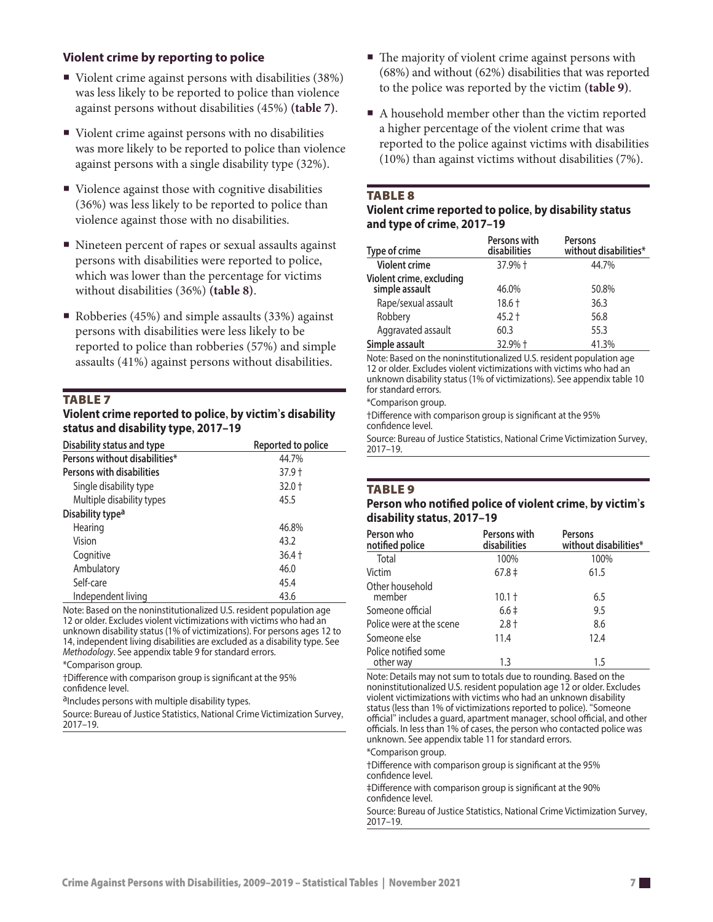#### **Violent crime by reporting to police**

- Violent crime against persons with disabilities (38%) was less likely to be reported to police than violence against persons without disabilities (45%) **(table 7)**.
- Violent crime against persons with no disabilities was more likely to be reported to police than violence against persons with a single disability type (32%).
- Violence against those with cognitive disabilities (36%) was less likely to be reported to police than violence against those with no disabilities.
- Nineteen percent of rapes or sexual assaults against persons with disabilities were reported to police, which was lower than the percentage for victims without disabilities (36%) **(table 8)**.
- Robberies (45%) and simple assaults (33%) against persons with disabilities were less likely to be reported to police than robberies (57%) and simple assaults (41%) against persons without disabilities.

#### **TABLE 7**

#### **Violent crime reported to police, by victim's disability status and disability type, 2017–19**

| Disability status and type    | Reported to police |
|-------------------------------|--------------------|
| Persons without disabilities* | 44.7%              |
| Persons with disabilities     | 37.9 t             |
| Single disability type        | $32.0 +$           |
| Multiple disability types     | 45.5               |
| Disability type <sup>a</sup>  |                    |
| Hearing                       | 46.8%              |
| Vision                        | 43.2               |
| Cognitive                     | 36.4 †             |
| Ambulatory                    | 46.0               |
| Self-care                     | 45.4               |
| Independent living            | 43.6               |

Note: Based on the noninstitutionalized U.S. resident population age 12 or older. Excludes violent victimizations with victims who had an unknown disability status (1% of victimizations). For persons ages 12 to 14, independent living disabilities are excluded as a disability type. See *Methodology*. See appendix table 9 for standard errors.

\*Comparison group.

†Difference with comparison group is significant at the 95% confidence level.

a<sub>Includes</sub> persons with multiple disability types.

Source: Bureau of Justice Statistics, National Crime Victimization Survey, 2017–19.

- $\blacksquare$  The majority of violent crime against persons with (68%) and without (62%) disabilities that was reported to the police was reported by the victim **(table 9)**.
- A household member other than the victim reported a higher percentage of the violent crime that was reported to the police against victims with disabilities (10%) than against victims without disabilities (7%).

#### **TABLE 8**

#### **Violent crime reported to police, by disability status and type of crime, 2017–19**

| Type of crime                              | Persons with<br>disabilities | <b>Persons</b><br>without disabilities* |
|--------------------------------------------|------------------------------|-----------------------------------------|
| <b>Violent crime</b>                       | 37.9% +                      | 44.7%                                   |
| Violent crime, excluding<br>simple assault | 46.0%                        | 50.8%                                   |
| Rape/sexual assault                        | $18.6 +$                     | 36.3                                    |
| Robbery                                    | $45.2 +$                     | 56.8                                    |
| Aggravated assault                         | 60.3                         | 55.3                                    |
| Simple assault                             | 32.9% +                      | 41.3%                                   |

Note: Based on the noninstitutionalized U.S. resident population age 12 or older. Excludes violent victimizations with victims who had an unknown disability status (1% of victimizations). See appendix table 10 for standard errors.

\*Comparison group.

†Difference with comparison group is significant at the 95% confidence level.

Source: Bureau of Justice Statistics, National Crime Victimization Survey, 2017–19.

#### **TABLE 9**

#### **Person who notified police of violent crime, by victim's disability status, 2017–19**

| Person who<br>notified police     | Persons with<br>disabilities | <b>Persons</b><br>without disabilities* |
|-----------------------------------|------------------------------|-----------------------------------------|
| Total                             | 100%                         | 100%                                    |
| Victim                            | $67.8 \pm$                   | 61.5                                    |
| Other household<br>member         | $10.1 +$                     | 6.5                                     |
| Someone official                  | $6.6 \pm$                    | 9.5                                     |
| Police were at the scene          | $2.8 +$                      | 8.6                                     |
| Someone else                      | 11.4                         | 12.4                                    |
| Police notified some<br>other way | 1.3                          | 1.5                                     |

Note: Details may not sum to totals due to rounding. Based on the noninstitutionalized U.S. resident population age 12 or older. Excludes violent victimizations with victims who had an unknown disability status (less than 1% of victimizations reported to police). "Someone official" includes a guard, apartment manager, school official, and other officials. In less than 1% of cases, the person who contacted police was unknown. See appendix table 11 for standard errors.

\*Comparison group.

†Difference with comparison group is significant at the 95% confidence level.

‡Difference with comparison group is significant at the 90% confidence level.

Source: Bureau of Justice Statistics, National Crime Victimization Survey, 2017–19.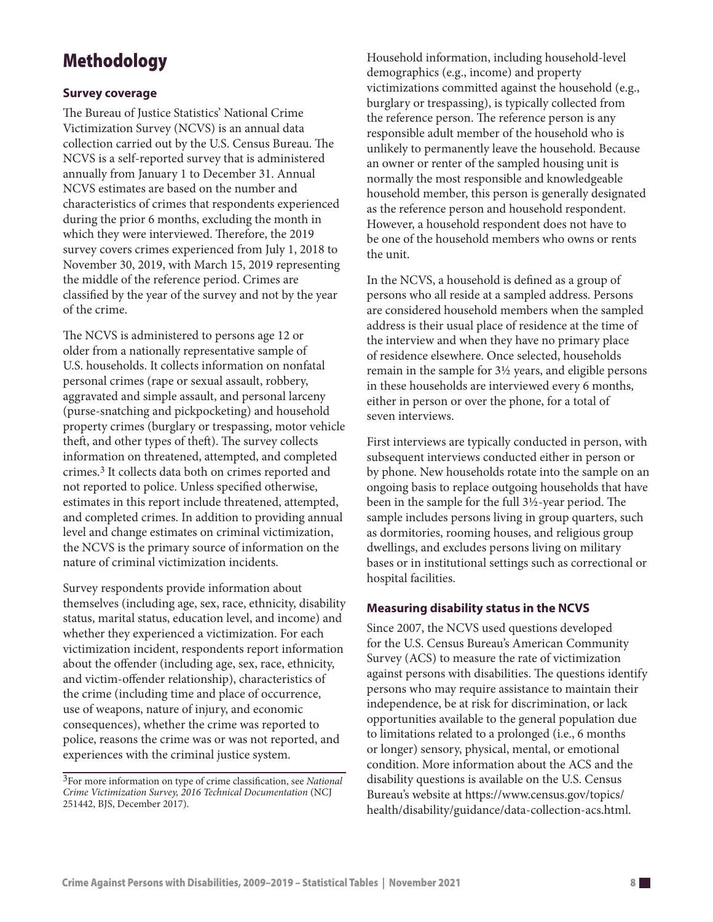# Methodology

### **Survey coverage**

The Bureau of Justice Statistics' National Crime Victimization Survey (NCVS) is an annual data collection carried out by the U.S. Census Bureau. The NCVS is a self-reported survey that is administered annually from January 1 to December 31. Annual NCVS estimates are based on the number and characteristics of crimes that respondents experienced during the prior 6 months, excluding the month in which they were interviewed. Therefore, the 2019 survey covers crimes experienced from July 1, 2018 to November 30, 2019, with March 15, 2019 representing the middle of the reference period. Crimes are classified by the year of the survey and not by the year of the crime.

The NCVS is administered to persons age 12 or older from a nationally representative sample of U.S. households. It collects information on nonfatal personal crimes (rape or sexual assault, robbery, aggravated and simple assault, and personal larceny (purse-snatching and pickpocketing) and household property crimes (burglary or trespassing, motor vehicle theft, and other types of theft). The survey collects information on threatened, attempted, and completed crimes.3 It collects data both on crimes reported and not reported to police. Unless specified otherwise, estimates in this report include threatened, attempted, and completed crimes. In addition to providing annual level and change estimates on criminal victimization, the NCVS is the primary source of information on the nature of criminal victimization incidents.

Survey respondents provide information about themselves (including age, sex, race, ethnicity, disability status, marital status, education level, and income) and whether they experienced a victimization. For each victimization incident, respondents report information about the offender (including age, sex, race, ethnicity, and victim-offender relationship), characteristics of the crime (including time and place of occurrence, use of weapons, nature of injury, and economic consequences), whether the crime was reported to police, reasons the crime was or was not reported, and experiences with the criminal justice system.

Household information, including household-level demographics (e.g., income) and property victimizations committed against the household (e.g., burglary or trespassing), is typically collected from the reference person. The reference person is any responsible adult member of the household who is unlikely to permanently leave the household. Because an owner or renter of the sampled housing unit is normally the most responsible and knowledgeable household member, this person is generally designated as the reference person and household respondent. However, a household respondent does not have to be one of the household members who owns or rents the unit.

In the NCVS, a household is defined as a group of persons who all reside at a sampled address. Persons are considered household members when the sampled address is their usual place of residence at the time of the interview and when they have no primary place of residence elsewhere. Once selected, households remain in the sample for 3½ years, and eligible persons in these households are interviewed every 6 months, either in person or over the phone, for a total of seven interviews.

First interviews are typically conducted in person, with subsequent interviews conducted either in person or by phone. New households rotate into the sample on an ongoing basis to replace outgoing households that have been in the sample for the full 3½-year period. The sample includes persons living in group quarters, such as dormitories, rooming houses, and religious group dwellings, and excludes persons living on military bases or in institutional settings such as correctional or hospital facilities.

## **Measuring disability status in the NCVS**

Since 2007, the NCVS used questions developed for the U.S. Census Bureau's American Community Survey (ACS) to measure the rate of victimization against persons with disabilities. The questions identify persons who may require assistance to maintain their independence, be at risk for discrimination, or lack opportunities available to the general population due to limitations related to a prolonged (i.e., 6 months or longer) sensory, physical, mental, or emotional condition. More information about the ACS and the disability questions is available on the U.S. Census Bureau's website at [https://www.census.gov/topics/](https://www.census.gov/topics/health/disability/guidance/data-collection-acs.html) [health/disability/guidance/data-collection-acs.html.](https://www.census.gov/topics/health/disability/guidance/data-collection-acs.html)

<sup>3</sup>For more information on type of crime classification, see *National Crime Victimization Survey, 2016 Technical Documentation* (NCJ 251442, BJS, December 2017).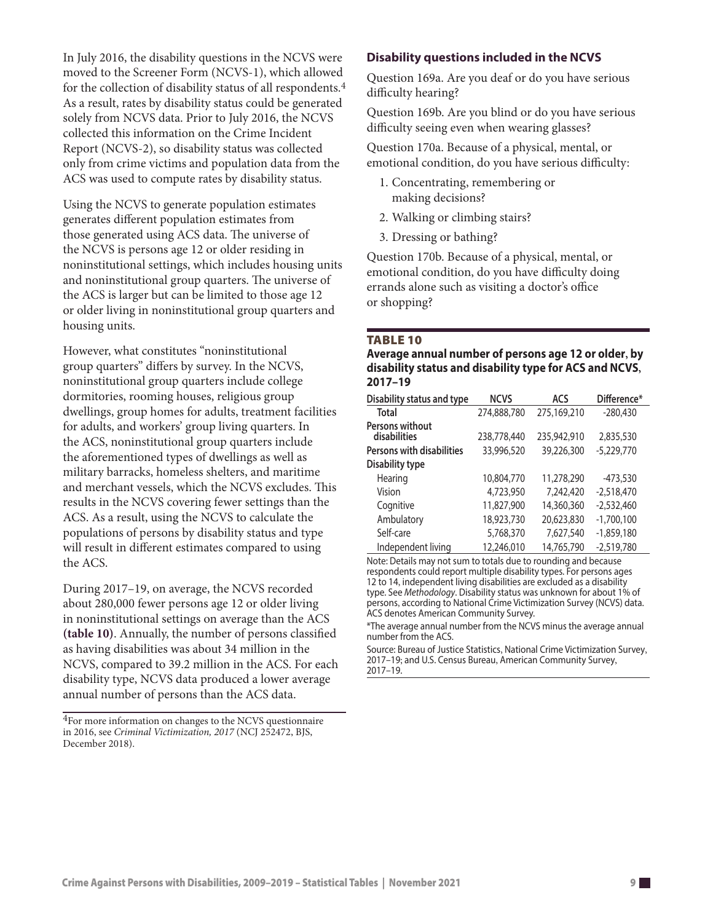In July 2016, the disability questions in the NCVS were moved to the Screener Form (NCVS-1), which allowed for the collection of disability status of all respondents.4 As a result, rates by disability status could be generated solely from NCVS data. Prior to July 2016, the NCVS collected this information on the Crime Incident Report (NCVS-2), so disability status was collected only from crime victims and population data from the ACS was used to compute rates by disability status.

Using the NCVS to generate population estimates generates different population estimates from those generated using ACS data. The universe of the NCVS is persons age 12 or older residing in noninstitutional settings, which includes housing units and noninstitutional group quarters. The universe of the ACS is larger but can be limited to those age 12 or older living in noninstitutional group quarters and housing units.

However, what constitutes "noninstitutional group quarters" differs by survey. In the NCVS, noninstitutional group quarters include college dormitories, rooming houses, religious group dwellings, group homes for adults, treatment facilities for adults, and workers' group living quarters. In the ACS, noninstitutional group quarters include the aforementioned types of dwellings as well as military barracks, homeless shelters, and maritime and merchant vessels, which the NCVS excludes. This results in the NCVS covering fewer settings than the ACS. As a result, using the NCVS to calculate the populations of persons by disability status and type will result in different estimates compared to using the ACS.

During 2017–19, on average, the NCVS recorded about 280,000 fewer persons age 12 or older living in noninstitutional settings on average than the ACS **(table 10)**. Annually, the number of persons classified as having disabilities was about 34 million in the NCVS, compared to 39.2 million in the ACS. For each disability type, NCVS data produced a lower average annual number of persons than the ACS data.

4For more information on changes to the NCVS questionnaire in 2016, see *Criminal Victimization, 2017* (NCJ 252472, BJS, December 2018).

# **Disability questions included in the NCVS**

Question 169a. Are you deaf or do you have serious difficulty hearing?

Question 169b. Are you blind or do you have serious difficulty seeing even when wearing glasses?

Question 170a. Because of a physical, mental, or emotional condition, do you have serious difficulty:

- 1. Concentrating, remembering or making decisions?
- 2. Walking or climbing stairs?
- 3. Dressing or bathing?

Question 170b. Because of a physical, mental, or emotional condition, do you have difficulty doing errands alone such as visiting a doctor's office or shopping?

#### **TABLE 10**

**Average annual number of persons age 12 or older, by disability status and disability type for ACS and NCVS, 2017–19**

| Disability status and type       | <b>NCVS</b> | ACS         | Difference*  |
|----------------------------------|-------------|-------------|--------------|
| <b>Total</b>                     | 274,888,780 | 275,169,210 | $-280,430$   |
| Persons without<br>disabilities  | 238,778,440 | 235,942,910 | 2,835,530    |
| <b>Persons with disabilities</b> | 33,996,520  | 39,226,300  | $-5,229,770$ |
| <b>Disability type</b>           |             |             |              |
| Hearing                          | 10,804,770  | 11,278,290  | $-473,530$   |
| Vision                           | 4,723,950   | 7.242,420   | $-2.518,470$ |
| Cognitive                        | 11,827,900  | 14,360,360  | $-2,532,460$ |
| Ambulatory                       | 18,923,730  | 20,623,830  | $-1,700,100$ |
| Self-care                        | 5,768,370   | 7,627,540   | $-1,859,180$ |
| Independent living               | 12,246,010  | 14,765,790  | $-2.519,780$ |

Note: Details may not sum to totals due to rounding and because respondents could report multiple disability types. For persons ages 12 to 14, independent living disabilities are excluded as a disability type. See *Methodology*. Disability status was unknown for about 1% of persons, according to National Crime Victimization Survey (NCVS) data. ACS denotes American Community Survey.

\*The average annual number from the NCVS minus the average annual number from the ACS.

Source: Bureau of Justice Statistics, National Crime Victimization Survey, 2017–19; and U.S. Census Bureau, American Community Survey, 2017–19.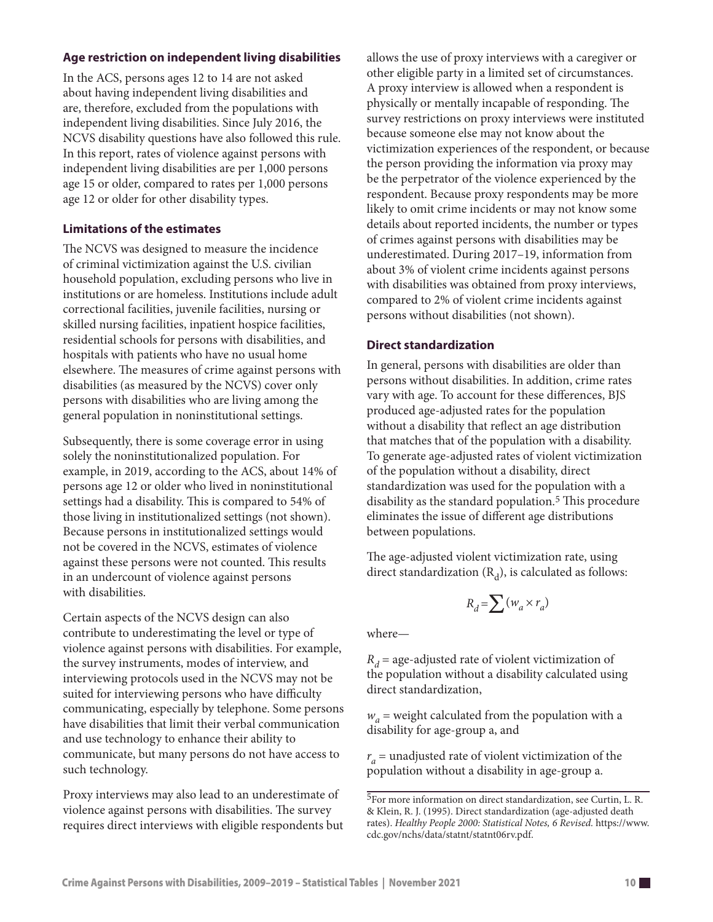# **Age restriction on independent living disabilities**

In the ACS, persons ages 12 to 14 are not asked about having independent living disabilities and are, therefore, excluded from the populations with independent living disabilities. Since July 2016, the NCVS disability questions have also followed this rule. In this report, rates of violence against persons with independent living disabilities are per 1,000 persons age 15 or older, compared to rates per 1,000 persons age 12 or older for other disability types.

# **Limitations of the estimates**

The NCVS was designed to measure the incidence of criminal victimization against the U.S. civilian household population, excluding persons who live in institutions or are homeless. Institutions include adult correctional facilities, juvenile facilities, nursing or skilled nursing facilities, inpatient hospice facilities, residential schools for persons with disabilities, and hospitals with patients who have no usual home elsewhere. The measures of crime against persons with disabilities (as measured by the NCVS) cover only persons with disabilities who are living among the general population in noninstitutional settings.

Subsequently, there is some coverage error in using solely the noninstitutionalized population. For example, in 2019, according to the ACS, about 14% of persons age 12 or older who lived in noninstitutional settings had a disability. This is compared to 54% of those living in institutionalized settings (not shown). Because persons in institutionalized settings would not be covered in the NCVS, estimates of violence against these persons were not counted. This results in an undercount of violence against persons with disabilities.

Certain aspects of the NCVS design can also contribute to underestimating the level or type of violence against persons with disabilities. For example, the survey instruments, modes of interview, and interviewing protocols used in the NCVS may not be suited for interviewing persons who have difficulty communicating, especially by telephone. Some persons have disabilities that limit their verbal communication and use technology to enhance their ability to communicate, but many persons do not have access to such technology.

Proxy interviews may also lead to an underestimate of violence against persons with disabilities. The survey requires direct interviews with eligible respondents but allows the use of proxy interviews with a caregiver or other eligible party in a limited set of circumstances. A proxy interview is allowed when a respondent is physically or mentally incapable of responding. The survey restrictions on proxy interviews were instituted because someone else may not know about the victimization experiences of the respondent, or because the person providing the information via proxy may be the perpetrator of the violence experienced by the respondent. Because proxy respondents may be more likely to omit crime incidents or may not know some details about reported incidents, the number or types of crimes against persons with disabilities may be underestimated. During 2017–19, information from about 3% of violent crime incidents against persons with disabilities was obtained from proxy interviews, compared to 2% of violent crime incidents against persons without disabilities (not shown).

# **Direct standardization**

In general, persons with disabilities are older than persons without disabilities. In addition, crime rates vary with age. To account for these differences, BJS produced age-adjusted rates for the population without a disability that reflect an age distribution that matches that of the population with a disability. To generate age-adjusted rates of violent victimization of the population without a disability, direct standardization was used for the population with a disability as the standard population.5 This procedure eliminates the issue of different age distributions between populations.

The age-adjusted violent victimization rate, using direct standardization  $(R_d)$ , is calculated as follows:

$$
R_d = \sum (w_a \times r_a)
$$

where—

 $R_d$  = age-adjusted rate of violent victimization of the population without a disability calculated using direct standardization,

 $w_a$  = weight calculated from the population with a disability for age-group a, and

 $r_a$  = unadjusted rate of violent victimization of the population without a disability in age-group a.

<sup>5</sup>For more information on direct standardization, see Curtin, L. R. & Klein, R. J. (1995). Direct standardization (age-adjusted death rates). *Healthy People 2000: Statistical Notes, 6 Revised.* [https://www.](https://www.cdc.gov/nchs/data/statnt/statnt06rv.pdf) [cdc.gov/nchs/data/statnt/statnt06rv.pdf](https://www.cdc.gov/nchs/data/statnt/statnt06rv.pdf).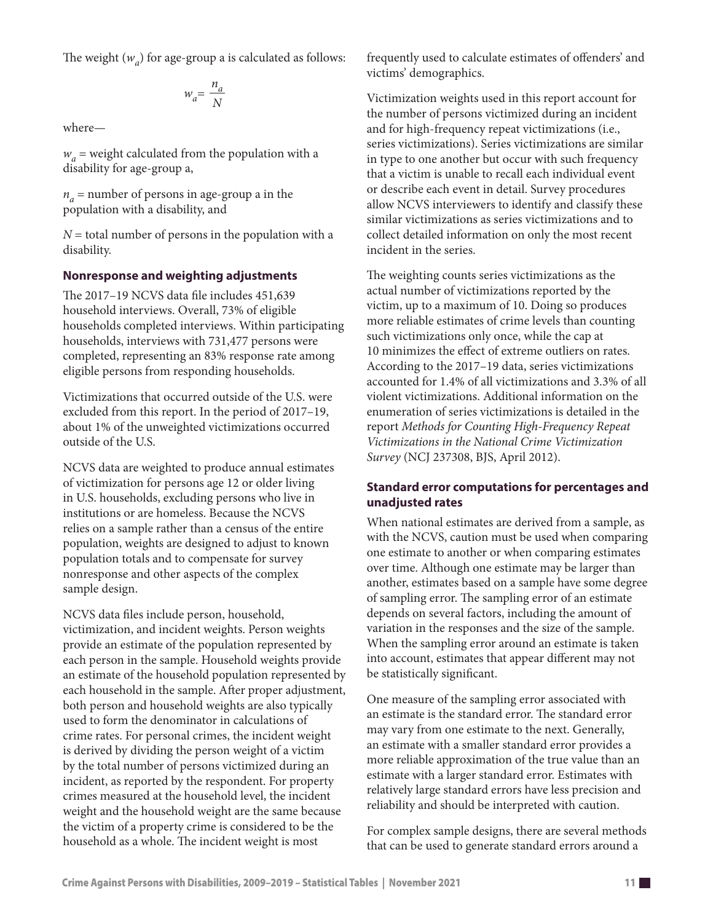The weight  $(w_a)$  for age-group a is calculated as follows:

$$
w_a = \frac{n_a}{N}
$$

where—

 $w_a$  = weight calculated from the population with a disability for age-group a,

 $n_a$  = number of persons in age-group a in the population with a disability, and

*N* = total number of persons in the population with a disability.

# **Nonresponse and weighting adjustments**

The 2017–19 NCVS data file includes 451,639 household interviews. Overall, 73% of eligible households completed interviews. Within participating households, interviews with 731,477 persons were completed, representing an 83% response rate among eligible persons from responding households.

Victimizations that occurred outside of the U.S. were excluded from this report. In the period of 2017–19, about 1% of the unweighted victimizations occurred outside of the U.S.

NCVS data are weighted to produce annual estimates of victimization for persons age 12 or older living in U.S. households, excluding persons who live in institutions or are homeless. Because the NCVS relies on a sample rather than a census of the entire population, weights are designed to adjust to known population totals and to compensate for survey nonresponse and other aspects of the complex sample design.

NCVS data files include person, household, victimization, and incident weights. Person weights provide an estimate of the population represented by each person in the sample. Household weights provide an estimate of the household population represented by each household in the sample. After proper adjustment, both person and household weights are also typically used to form the denominator in calculations of crime rates. For personal crimes, the incident weight is derived by dividing the person weight of a victim by the total number of persons victimized during an incident, as reported by the respondent. For property crimes measured at the household level, the incident weight and the household weight are the same because the victim of a property crime is considered to be the household as a whole. The incident weight is most

frequently used to calculate estimates of offenders' and victims' demographics.

Victimization weights used in this report account for the number of persons victimized during an incident and for high-frequency repeat victimizations (i.e., series victimizations). Series victimizations are similar in type to one another but occur with such frequency that a victim is unable to recall each individual event or describe each event in detail. Survey procedures allow NCVS interviewers to identify and classify these similar victimizations as series victimizations and to collect detailed information on only the most recent incident in the series.

The weighting counts series victimizations as the actual number of victimizations reported by the victim, up to a maximum of 10. Doing so produces more reliable estimates of crime levels than counting such victimizations only once, while the cap at 10 minimizes the effect of extreme outliers on rates. According to the 2017–19 data, series victimizations accounted for 1.4% of all victimizations and 3.3% of all violent victimizations. Additional information on the enumeration of series victimizations is detailed in the report *Methods for Counting High-Frequency Repeat Victimizations in the National Crime Victimization Survey* (NCJ 237308, BJS, April 2012).

# **Standard error computations for percentages and unadjusted rates**

When national estimates are derived from a sample, as with the NCVS, caution must be used when comparing one estimate to another or when comparing estimates over time. Although one estimate may be larger than another, estimates based on a sample have some degree of sampling error. The sampling error of an estimate depends on several factors, including the amount of variation in the responses and the size of the sample. When the sampling error around an estimate is taken into account, estimates that appear different may not be statistically significant.

One measure of the sampling error associated with an estimate is the standard error. The standard error may vary from one estimate to the next. Generally, an estimate with a smaller standard error provides a more reliable approximation of the true value than an estimate with a larger standard error. Estimates with relatively large standard errors have less precision and reliability and should be interpreted with caution.

For complex sample designs, there are several methods that can be used to generate standard errors around a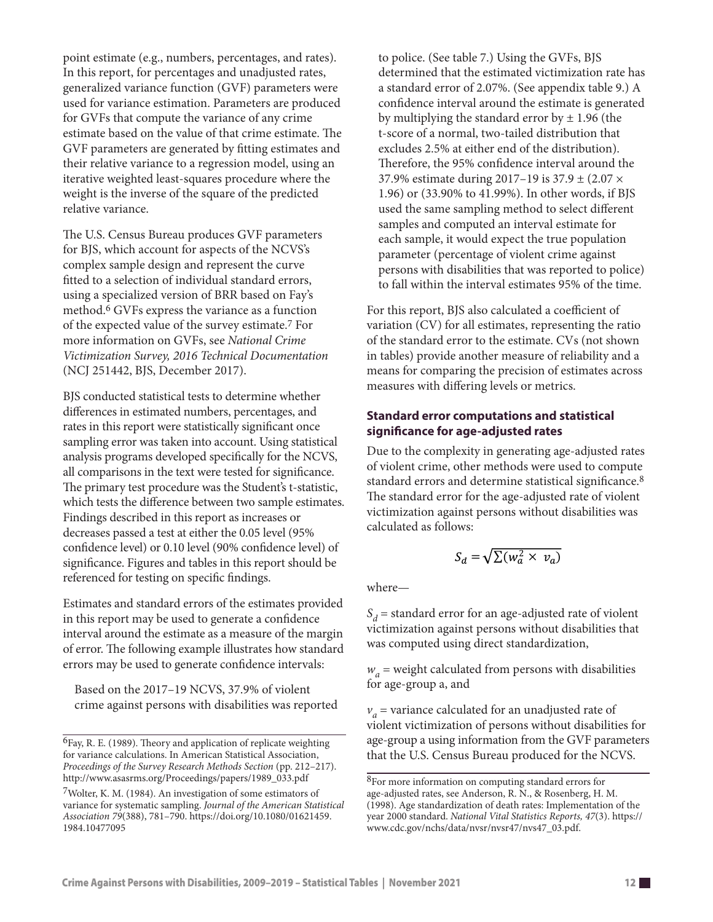point estimate (e.g., numbers, percentages, and rates). In this report, for percentages and unadjusted rates, generalized variance function (GVF) parameters were used for variance estimation. Parameters are produced for GVFs that compute the variance of any crime estimate based on the value of that crime estimate. The GVF parameters are generated by fitting estimates and their relative variance to a regression model, using an iterative weighted least-squares procedure where the weight is the inverse of the square of the predicted relative variance.

The U.S. Census Bureau produces GVF parameters for BJS, which account for aspects of the NCVS's complex sample design and represent the curve fitted to a selection of individual standard errors, using a specialized version of BRR based on Fay's method.6 GVFs express the variance as a function of the expected value of the survey estimate.7 For more information on GVFs, see *National Crime Victimization Survey, 2016 Technical Documentation* (NCJ 251442, BJS, December 2017).

BJS conducted statistical tests to determine whether differences in estimated numbers, percentages, and rates in this report were statistically significant once sampling error was taken into account. Using statistical analysis programs developed specifically for the NCVS, all comparisons in the text were tested for significance. The primary test procedure was the Student's t-statistic, which tests the difference between two sample estimates. Findings described in this report as increases or decreases passed a test at either the 0.05 level (95% confidence level) or 0.10 level (90% confidence level) of significance. Figures and tables in this report should be referenced for testing on specific findings.

Estimates and standard errors of the estimates provided in this report may be used to generate a confidence interval around the estimate as a measure of the margin of error. The following example illustrates how standard errors may be used to generate confidence intervals:

Based on the 2017–19 NCVS, 37.9% of violent crime against persons with disabilities was reported to police. (See table 7.) Using the GVFs, BJS determined that the estimated victimization rate has a standard error of 2.07%. (See appendix table 9.) A confidence interval around the estimate is generated by multiplying the standard error by  $\pm$  1.96 (the t-score of a normal, two-tailed distribution that excludes 2.5% at either end of the distribution). Therefore, the 95% confidence interval around the 37.9% estimate during 2017–19 is 37.9 ± (2.07 × 1.96) or (33.90% to 41.99%). In other words, if BJS used the same sampling method to select different samples and computed an interval estimate for each sample, it would expect the true population parameter (percentage of violent crime against persons with disabilities that was reported to police) to fall within the interval estimates 95% of the time.

For this report, BJS also calculated a coefficient of variation (CV) for all estimates, representing the ratio of the standard error to the estimate. CVs (not shown in tables) provide another measure of reliability and a means for comparing the precision of estimates across measures with differing levels or metrics.

# **Standard error computations and statistical significance for age-adjusted rates**

Due to the complexity in generating age-adjusted rates of violent crime, other methods were used to compute standard errors and determine statistical significance.8 The standard error for the age-adjusted rate of violent victimization against persons without disabilities was calculated as follows:

$$
S_d = \sqrt{\sum (w_a^2 \times v_a)}
$$

where—

 $S_d$  = standard error for an age-adjusted rate of violent victimization against persons without disabilities that was computed using direct standardization,

 $w_a$  = weight calculated from persons with disabilities for age-group a, and

 $v_a$  = variance calculated for an unadjusted rate of violent victimization of persons without disabilities for age-group a using information from the GVF parameters that the U.S. Census Bureau produced for the NCVS.

<sup>6</sup>Fay, R. E. (1989). Theory and application of replicate weighting for variance calculations. In American Statistical Association, *Proceedings of the Survey Research Methods Section* (pp. 212–217). http://www.asasrms.org/Proceedings/papers/1989\_033.pdf

<sup>7</sup>Wolter, K. M. (1984). An investigation of some estimators of variance for systematic sampling. *Journal of the American Statistical Association 79*(388), 781–790. [https://doi.org/10.1080/01621459.](https://doi.org/10.1080/01621459.1984.10477095) [1984.10477095](https://doi.org/10.1080/01621459.1984.10477095)

<sup>8</sup>For more information on computing standard errors for age-adjusted rates, see Anderson, R. N., & Rosenberg, H. M. (1998). Age standardization of death rates: Implementation of the year 2000 standard. *National Vital Statistics Reports, 47*(3). [https://](https://www.cdc.gov/nchs/data/nvsr/nvsr47/nvs47_03.pdf) [www.cdc.gov/nchs/data/nvsr/nvsr47/nvs47\\_03.pdf](https://www.cdc.gov/nchs/data/nvsr/nvsr47/nvs47_03.pdf).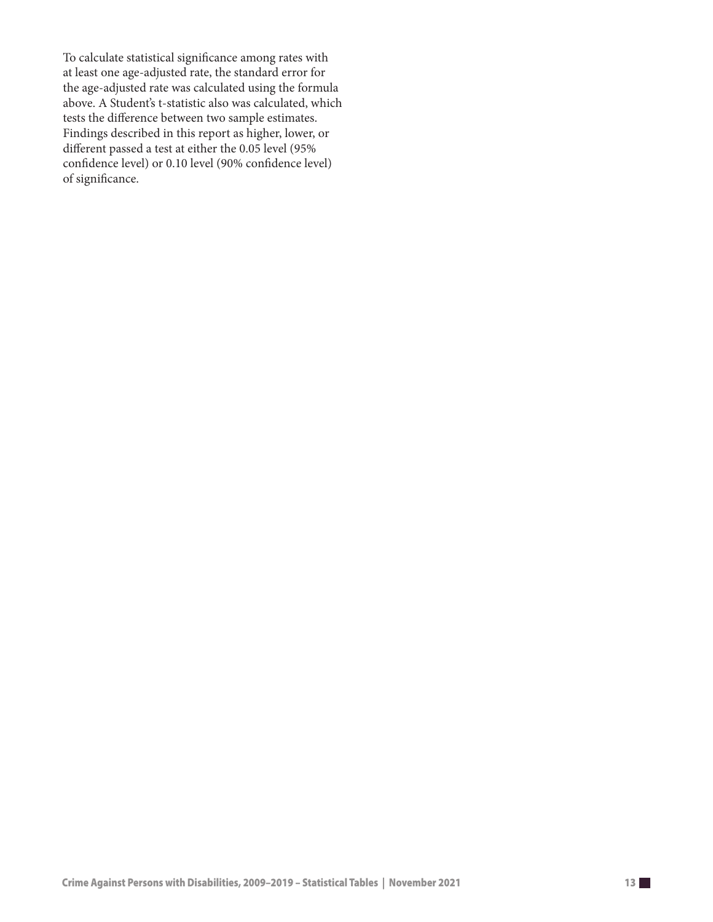To calculate statistical significance among rates with at least one age-adjusted rate, the standard error for the age-adjusted rate was calculated using the formula above. A Student's t-statistic also was calculated, which tests the difference between two sample estimates. Findings described in this report as higher, lower, or different passed a test at either the 0.05 level (95% confidence level) or 0.10 level (90% confidence level) of significance.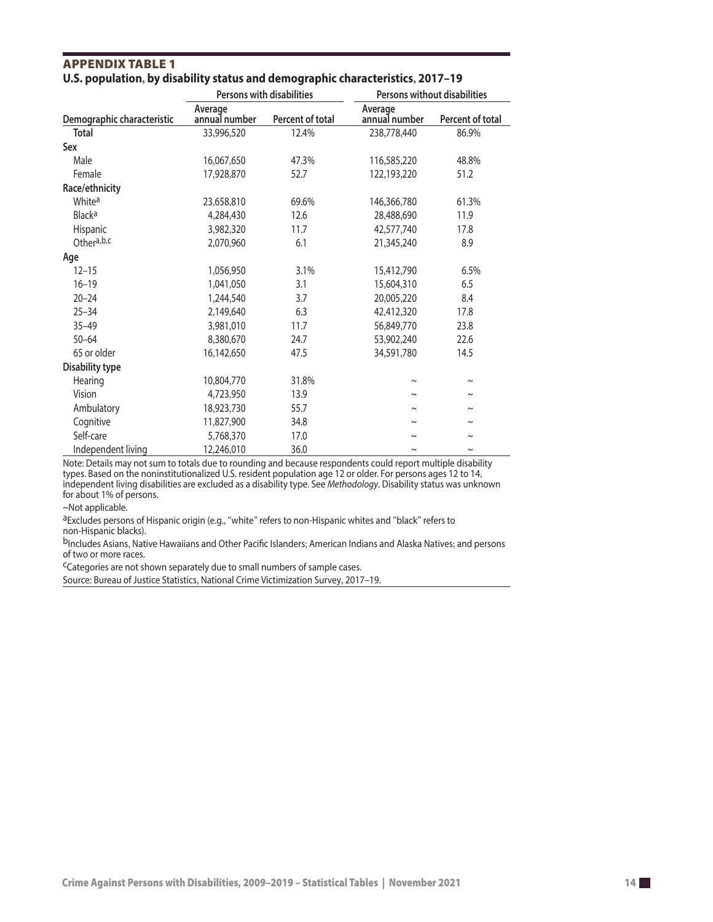|                            |                          | <b>Persons with disabilities</b> | Persons without disabilities |                       |  |
|----------------------------|--------------------------|----------------------------------|------------------------------|-----------------------|--|
| Demographic characteristic | Average<br>annual number | Percent of total                 | Average<br>annual number     | Percent of total      |  |
| <b>Total</b>               | 33,996,520               | 12.4%                            | 238,778,440                  | 86.9%                 |  |
| Sex                        |                          |                                  |                              |                       |  |
| Male                       | 16,067,650               | 47.3%                            | 116,585,220                  | 48.8%                 |  |
| Female                     | 17,928,870               | 52.7                             | 122,193,220                  | 51.2                  |  |
| Race/ethnicity             |                          |                                  |                              |                       |  |
| White <sup>a</sup>         | 23,658,810               | 69.6%                            | 146,366,780                  | 61.3%                 |  |
| <b>Black<sup>a</sup></b>   | 4,284,430                | 12.6                             | 28,488,690                   | 11.9                  |  |
| <b>Hispanic</b>            | 3,982,320                | 11.7                             | 42,577,740                   | 17.8                  |  |
| Othera,b,c                 | 2,070,960                | 6.1                              | 21,345,240                   | 8.9                   |  |
| Age                        |                          |                                  |                              |                       |  |
| $12 - 15$                  | 1,056,950                | 3.1%                             | 15,412,790                   | 6.5%                  |  |
| $16 - 19$                  | 1,041,050                | 3.1                              | 15,604,310                   | 6.5                   |  |
| $20 - 24$                  | 1,244,540                | 3.7                              | 20,005,220                   | 8.4                   |  |
| $25 - 34$                  | 2,149,640                | 6.3                              | 42,412,320                   | 17.8                  |  |
| $35 - 49$                  | 3,981,010                | 11.7                             | 56,849,770                   | 23.8                  |  |
| $50 - 64$                  | 8,380,670                | 24.7                             | 53,902,240                   | 22.6                  |  |
| 65 or older                | 16,142,650               | 47.5                             | 34,591,780                   | 14.5                  |  |
| <b>Disability type</b>     |                          |                                  |                              |                       |  |
| Hearing                    | 10,804,770               | 31.8%                            | $\tilde{}$                   | $\tilde{\phantom{a}}$ |  |
| Vision                     | 4,723,950                | 13.9                             | $\tilde{}$                   | $\sim$                |  |
| Ambulatory                 | 18,923,730               | 55.7                             | $\tilde{}$                   | $\tilde{\phantom{a}}$ |  |
| Cognitive                  | 11,827,900               | 34.8                             | $\tilde{}$                   | $\sim$                |  |
| Self-care                  | 5,768,370                | 17.0                             | $\tilde{}$                   | $\tilde{\phantom{a}}$ |  |
| Independent living         | 12,246,010               | 36.0                             | $\thicksim$                  | $\tilde{\phantom{a}}$ |  |

#### APPENDIx TAbLE 1 **U.S. population, by disability status and demographic characteristics, 2017–19**

Note: Details may not sum to totals due to rounding and because respondents could report multiple disability types. Based on the noninstitutionalized U.S. resident population age 12 or older. For persons ages 12 to 14, independent living disabilities are excluded as a disability type. See *Methodology*. Disability status was unknown for about 1% of persons.

~Not applicable.

aExcludes persons of Hispanic origin (e.g., "white" refers to non-Hispanic whites and "black" refers to non-Hispanic blacks).

bIncludes Asians, Native Hawaiians and Other Pacific Islanders; American Indians and Alaska Natives; and persons of two or more races.

cCategories are not shown separately due to small numbers of sample cases.

Source: Bureau of Justice Statistics, National Crime Victimization Survey, 2017–19.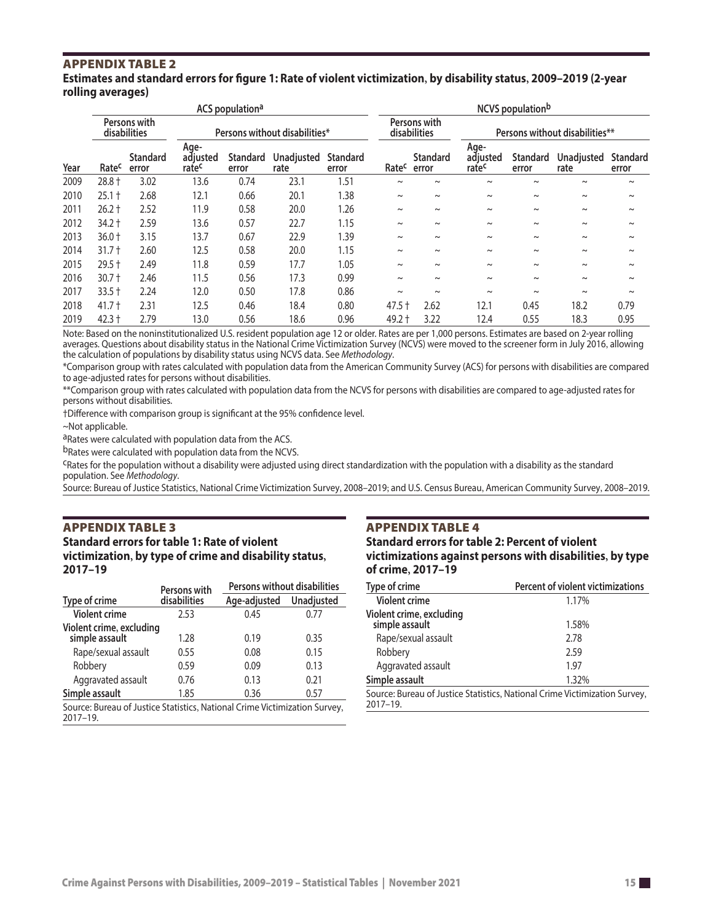#### APPENDIx TAbLE 2 **Estimates and standard errors for figure 1: Rate of violent victimization, by disability status, 2009–2019 (2-year rolling averages)**

|                              | ACS population <sup>a</sup> |                          |                               |                          |                    | <b>NCVS</b> population <sup>b</sup> |            |                                |                                       |                          |                           |                          |
|------------------------------|-----------------------------|--------------------------|-------------------------------|--------------------------|--------------------|-------------------------------------|------------|--------------------------------|---------------------------------------|--------------------------|---------------------------|--------------------------|
| Persons with<br>disabilities |                             |                          | Persons without disabilities* |                          |                    | Persons with<br>disabilities        |            | Persons without disabilities** |                                       |                          |                           |                          |
| Year                         | Ratec                       | <b>Standard</b><br>error | Age-<br>adjusted<br>ratec     | <b>Standard</b><br>error | Unadjusted<br>rate | <b>Standard</b><br>error            | Ratec      | <b>Standard</b><br>error       | Age-<br>adjusted<br>rate <sup>c</sup> | <b>Standard</b><br>error | <b>Unadjusted</b><br>rate | <b>Standard</b><br>error |
| 2009                         | $28.8 +$                    | 3.02                     | 13.6                          | 0.74                     | 23.1               | 1.51                                | $\tilde{}$ | $\sim$                         | $\sim$                                | $\sim$                   | $\tilde{\phantom{a}}$     | $\tilde{}$               |
| 2010                         | $25.1 +$                    | 2.68                     | 12.1                          | 0.66                     | 20.1               | 1.38                                | $\tilde{}$ | $\tilde{}$                     | $\sim$                                | $\sim$                   | $\tilde{\phantom{a}}$     | $\tilde{}$               |
| 2011                         | $26.2 +$                    | 2.52                     | 11.9                          | 0.58                     | 20.0               | 1.26                                | $\tilde{}$ | $\sim$                         | $\sim$                                | $\sim$                   | $\sim$                    | $\tilde{}$               |
| 2012                         | $34.2 +$                    | 2.59                     | 13.6                          | 0.57                     | 22.7               | 1.15                                | $\tilde{}$ | $\tilde{}$                     | $\sim$                                | $\sim$                   | $\sim$                    | $\tilde{}$               |
| 2013                         | $36.0 +$                    | 3.15                     | 13.7                          | 0.67                     | 22.9               | 1.39                                | $\tilde{}$ | $\tilde{}$                     | $\tilde{\phantom{a}}$                 | $\sim$                   | $\tilde{\phantom{a}}$     | $\tilde{}$               |
| 2014                         | $31.7 +$                    | 2.60                     | 12.5                          | 0.58                     | 20.0               | 1.15                                | $\tilde{}$ | $\tilde{}$                     | $\sim$                                | $\sim$                   | $\tilde{\phantom{a}}$     | $\tilde{}$               |
| 2015                         | $29.5 +$                    | 2.49                     | 11.8                          | 0.59                     | 17.7               | 1.05                                | $\tilde{}$ | $\sim$                         | $\sim$                                | $\sim$                   | $\sim$                    | $\tilde{}$               |
| 2016                         | $30.7 +$                    | 2.46                     | 11.5                          | 0.56                     | 17.3               | 0.99                                | $\tilde{}$ | $\tilde{}$                     | $\sim$                                | $\sim$                   | $\sim$                    | $\tilde{}$               |
| 2017                         | $33.5 +$                    | 2.24                     | 12.0                          | 0.50                     | 17.8               | 0.86                                | $\sim$     | $\sim$                         | $\sim$                                | $\sim$                   | $\sim$                    | $\tilde{}$               |
| 2018                         | $41.7 +$                    | 2.31                     | 12.5                          | 0.46                     | 18.4               | 0.80                                | $47.5 +$   | 2.62                           | 12.1                                  | 0.45                     | 18.2                      | 0.79                     |
| 2019                         | $42.3 +$                    | 2.79                     | 13.0                          | 0.56                     | 18.6               | 0.96                                | 49.2 +     | 3.22                           | 12.4                                  | 0.55                     | 18.3                      | 0.95                     |

Note: Based on the noninstitutionalized U.S. resident population age 12 or older. Rates are per 1,000 persons. Estimates are based on 2-year rolling averages. Questions about disability status in the National Crime Victimization Survey (NCVS) were moved to the screener form in July 2016, allowing the calculation of populations by disability status using NCVS data. See *Methodology*.

\*Comparison group with rates calculated with population data from the American Community Survey (ACS) for persons with disabilities are compared to age-adjusted rates for persons without disabilities.

\*\*Comparison group with rates calculated with population data from the NCVS for persons with disabilities are compared to age-adjusted rates for persons without disabilities.

†Difference with comparison group is significant at the 95% confidence level.

~Not applicable.

aRates were calculated with population data from the ACS.

bRates were calculated with population data from the NCVS.

cRates for the population without a disability were adjusted using direct standardization with the population with a disability as the standard population. See *Methodology*.

Source: Bureau of Justice Statistics, National Crime Victimization Survey, 2008–2019; and U.S. Census Bureau, American Community Survey, 2008–2019.

# APPENDIx TAbLE 3

**Standard errors for table 1: Rate of violent victimization, by type of crime and disability status, 2017–19**

|                                                                                            | Persons with | <b>Persons without disabilities</b> |                   |
|--------------------------------------------------------------------------------------------|--------------|-------------------------------------|-------------------|
| Type of crime                                                                              | disabilities | Age-adjusted                        | <b>Unadjusted</b> |
| <b>Violent crime</b>                                                                       | 2.53         | 0.45                                | 0.77              |
| Violent crime, excluding<br>simple assault                                                 | 1.28         | 0.19                                | 0.35              |
| Rape/sexual assault                                                                        | 0.55         | 0.08                                | 0.15              |
| Robbery                                                                                    | 0.59         | 0.09                                | 0.13              |
| Aggravated assault                                                                         | 0.76         | 0.13                                | 0.21              |
| Simple assault                                                                             | 1.85         | 0.36                                | 0.57              |
| Source: Bureau of Justice Statistics, National Crime Victimization Survey,<br>$2017 - 19.$ |              |                                     |                   |

#### **APPENDIX TABLE 4**

**Standard errors for table 2: Percent of violent victimizations against persons with disabilities, by type of crime, 2017–19**

| Type of crime                              | Percent of violent victimizations                                          |
|--------------------------------------------|----------------------------------------------------------------------------|
| <b>Violent crime</b>                       | 1.17%                                                                      |
| Violent crime, excluding<br>simple assault | 1.58%                                                                      |
| Rape/sexual assault                        | 2.78                                                                       |
| Robbery                                    | 2.59                                                                       |
| Aggravated assault                         | 197                                                                        |
| Simple assault                             | 1.32%                                                                      |
| $2017 - 19.$                               | Source: Bureau of Justice Statistics, National Crime Victimization Survey, |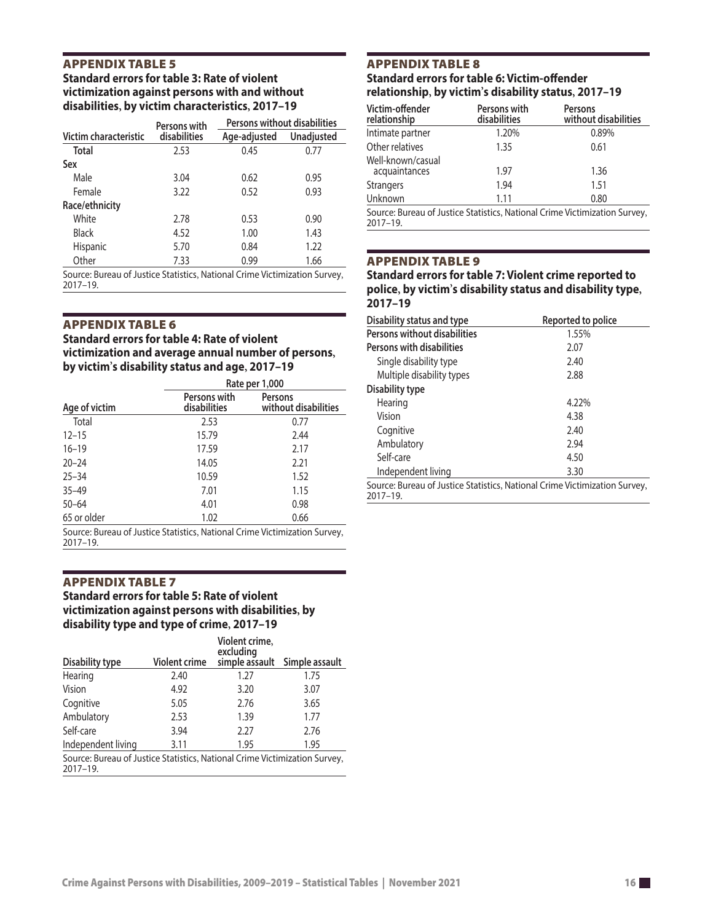#### APPENDIx TAbLE 5 **Standard errors for table 3: Rate of violent victimization against persons with and without disabilities, by victim characteristics, 2017–19**

|                       | Persons with | Persons without disabilities |                   |
|-----------------------|--------------|------------------------------|-------------------|
| Victim characteristic | disabilities | Age-adjusted                 | <b>Unadjusted</b> |
| <b>Total</b>          | 2.53         | 0.45                         | 0.77              |
| Sex                   |              |                              |                   |
| Male                  | 3.04         | 0.62                         | 0.95              |
| Female                | 3.22         | 0.52                         | 0.93              |
| Race/ethnicity        |              |                              |                   |
| White                 | 2.78         | 0.53                         | 0.90              |
| Black                 | 4.52         | 1.00                         | 1.43              |
| <b>Hispanic</b>       | 5.70         | 0.84                         | 1.22              |
| Other                 | 7.33         | 0.99                         | 1.66              |

Source: Bureau of Justice Statistics, National Crime Victimization Survey, 2017–19.

#### APPENDIx TAbLE 6

**Standard errors for table 4: Rate of violent victimization and average annual number of persons, by victim's disability status and age, 2017–19**

|               | Rate per 1,000                                                            |                                        |  |
|---------------|---------------------------------------------------------------------------|----------------------------------------|--|
| Age of victim | Persons with<br>disabilities                                              | <b>Persons</b><br>without disabilities |  |
| Total         | 2.53                                                                      | 0.77                                   |  |
| $12 - 15$     | 15.79                                                                     | 2.44                                   |  |
| $16 - 19$     | 17.59                                                                     | 2.17                                   |  |
| $20 - 24$     | 14.05                                                                     | 2.21                                   |  |
| $25 - 34$     | 10.59                                                                     | 1.52                                   |  |
| $35 - 49$     | 7.01                                                                      | 1.15                                   |  |
| $50 - 64$     | 4.01                                                                      | 0.98                                   |  |
| 65 or older   | 1.02                                                                      | 0.66                                   |  |
|               | Source: Bureau of Justice Statistics, National Crime Victimization Survey |                                        |  |

Statistics, National Crime Victimization Survey, 2017–19.

#### APPENDIx TAbLE 7

#### **Standard errors for table 5: Rate of violent victimization against persons with disabilities, by disability type and type of crime, 2017–19**

| Disability type                                                            | <b>Violent crime</b> | Violent crime,<br>excluding<br>simple assault | Simple assault |
|----------------------------------------------------------------------------|----------------------|-----------------------------------------------|----------------|
| Hearing                                                                    | 2.40                 | 1.27                                          | 1.75           |
| Vision                                                                     | 4.92                 | 3.20                                          | 3.07           |
| Cognitive                                                                  | 5.05                 | 2.76                                          | 3.65           |
| Ambulatory                                                                 | 2.53                 | 1.39                                          | 1.77           |
| Self-care                                                                  | 3.94                 | 2.27                                          | 2.76           |
| Independent living                                                         | 3.11                 | 1.95                                          | 1.95           |
| Source: Bureau of Justice Statistics, National Crime Victimization Survey, |                      |                                               |                |

2017–19.

#### APPENDIx TAbLE 8 **Standard errors for table 6: Victim-offender relationship, by victim's disability status, 2017–19**

| Victim-offender<br>relationship    | Persons with<br>disabilities | Persons<br>without disabilities                                           |
|------------------------------------|------------------------------|---------------------------------------------------------------------------|
| Intimate partner                   | 1.20%                        | 0.89%                                                                     |
| Other relatives                    | 1.35                         | 0.61                                                                      |
| Well-known/casual<br>acquaintances | 1.97                         | 1.36                                                                      |
| <b>Strangers</b>                   | 1.94                         | 1.51                                                                      |
| Unknown                            | 1.11                         | 0.80                                                                      |
|                                    |                              | Source: Rureau of Justice Statistics, National Crime Victimization Survey |

Source: Bureau of Justice Statistics, National Crime Victimization Survey, 2017–19.

#### APPENDIx TAbLE 9

**Standard errors for table 7: Violent crime reported to police, by victim's disability status and disability type, 2017–19**

| Disability status and type                                                                 | Reported to police |  |
|--------------------------------------------------------------------------------------------|--------------------|--|
| Persons without disabilities                                                               | 1.55%              |  |
| <b>Persons with disabilities</b>                                                           | 2.07               |  |
| Single disability type                                                                     | 2.40               |  |
| Multiple disability types                                                                  | 2.88               |  |
| Disability type                                                                            |                    |  |
| Hearing                                                                                    | 4.22%              |  |
| Vision                                                                                     | 4.38               |  |
| Cognitive                                                                                  | 2.40               |  |
| Ambulatory                                                                                 | 2.94               |  |
| Self-care                                                                                  | 4.50               |  |
| Independent living                                                                         | 3.30               |  |
| Source: Bureau of Justice Statistics, National Crime Victimization Survey,<br>$2017 - 19.$ |                    |  |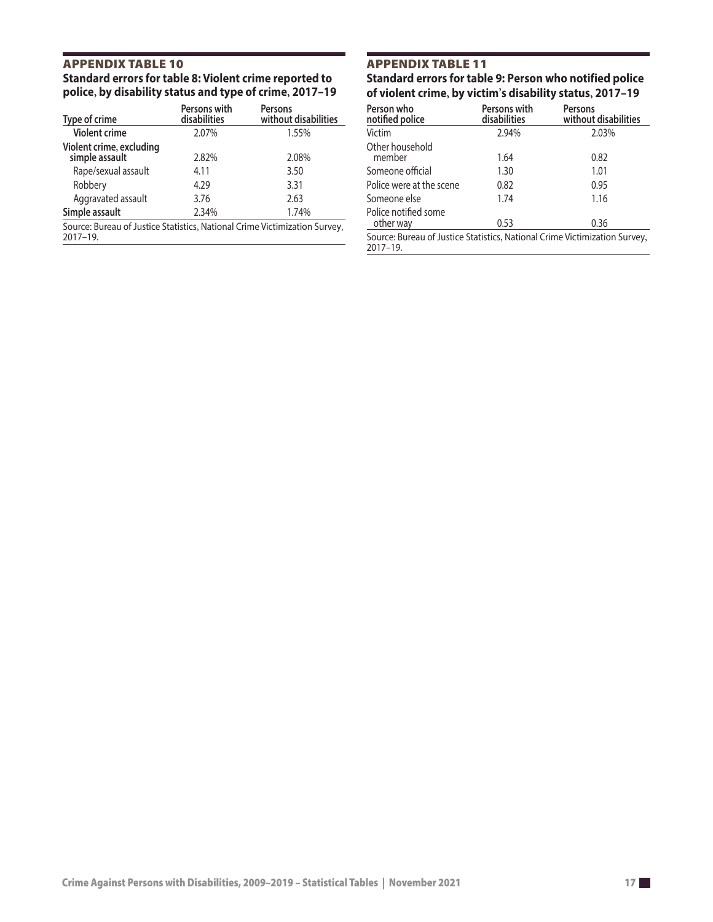#### APPENDIx TAbLE 10 **Standard errors for table 8: Violent crime reported to police, by disability status and type of crime, 2017–19**

| Type of crime                                                                          | Persons with<br>disabilities | <b>Persons</b><br>without disabilities |
|----------------------------------------------------------------------------------------|------------------------------|----------------------------------------|
| <b>Violent crime</b>                                                                   | 2.07%                        | 1.55%                                  |
| Violent crime, excluding<br>simple assault                                             | 2.82%                        | 2.08%                                  |
| Rape/sexual assault                                                                    | 4.11                         | 3.50                                   |
| Robbery                                                                                | 4.29                         | 3.31                                   |
| Aggravated assault                                                                     | 3.76                         | 2.63                                   |
| Simple assault                                                                         | 2.34%                        | 1.74%                                  |
| Source: Bureau of Justice Statistics, National Crime Victimization Survey,<br>2017-19. |                              |                                        |

# APPENDIx TAbLE 11

**Standard errors for table 9: Person who notified police of violent crime, by victim's disability status, 2017–19**

| Person who<br>notified police                                                          | Persons with<br>disabilities | <b>Persons</b><br>without disabilities |
|----------------------------------------------------------------------------------------|------------------------------|----------------------------------------|
| Victim                                                                                 | 2.94%                        | 2.03%                                  |
| Other household<br>member                                                              | 1.64                         | 0.82                                   |
| Someone official                                                                       | 1.30                         | 1.01                                   |
| Police were at the scene                                                               | 0.82                         | 0.95                                   |
| Someone else                                                                           | 1.74                         | 1.16                                   |
| Police notified some<br>other way                                                      | 0.53                         | 0.36                                   |
| Source: Bureau of Justice Statistics, National Crime Victimization Survey,<br>2017–19. |                              |                                        |
|                                                                                        |                              |                                        |